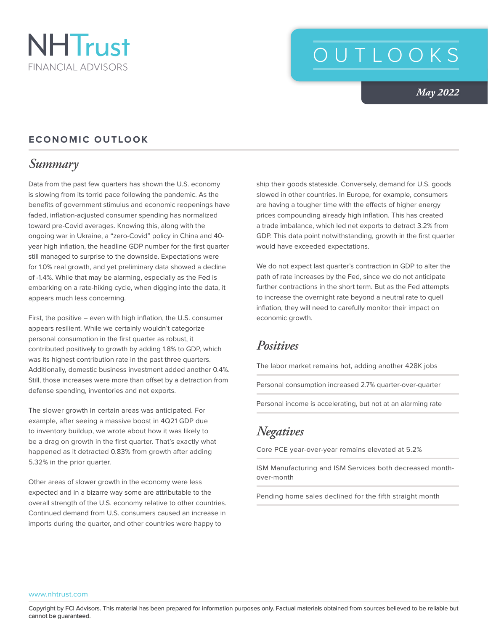

# OUTLOOKS

*May 2022*

#### **ECONOMIC OUTLOOK**

#### *Summary*

Data from the past few quarters has shown the U.S. economy is slowing from its torrid pace following the pandemic. As the benefits of government stimulus and economic reopenings have faded, inflation-adjusted consumer spending has normalized toward pre-Covid averages. Knowing this, along with the ongoing war in Ukraine, a "zero-Covid" policy in China and 40 year high inflation, the headline GDP number for the first quarter still managed to surprise to the downside. Expectations were for 1.0% real growth, and yet preliminary data showed a decline of -1.4%. While that may be alarming, especially as the Fed is embarking on a rate-hiking cycle, when digging into the data, it appears much less concerning.

First, the positive – even with high inflation, the U.S. consumer appears resilient. While we certainly wouldn't categorize personal consumption in the first quarter as robust, it contributed positively to growth by adding 1.8% to GDP, which was its highest contribution rate in the past three quarters. Additionally, domestic business investment added another 0.4%. Still, those increases were more than offset by a detraction from defense spending, inventories and net exports.

The slower growth in certain areas was anticipated. For example, after seeing a massive boost in 4Q21 GDP due to inventory buildup, we wrote about how it was likely to be a drag on growth in the first quarter. That's exactly what happened as it detracted 0.83% from growth after adding 5.32% in the prior quarter.

Other areas of slower growth in the economy were less expected and in a bizarre way some are attributable to the overall strength of the U.S. economy relative to other countries. Continued demand from U.S. consumers caused an increase in imports during the quarter, and other countries were happy to

ship their goods stateside. Conversely, demand for U.S. goods slowed in other countries. In Europe, for example, consumers are having a tougher time with the effects of higher energy prices compounding already high inflation. This has created a trade imbalance, which led net exports to detract 3.2% from GDP. This data point notwithstanding, growth in the first quarter would have exceeded expectations.

We do not expect last quarter's contraction in GDP to alter the path of rate increases by the Fed, since we do not anticipate further contractions in the short term. But as the Fed attempts to increase the overnight rate beyond a neutral rate to quell inflation, they will need to carefully monitor their impact on economic growth.

### *Positives*

The labor market remains hot, adding another 428K jobs

Personal consumption increased 2.7% quarter-over-quarter

Personal income is accelerating, but not at an alarming rate

### *Negatives*

Core PCE year-over-year remains elevated at 5.2%

ISM Manufacturing and ISM Services both decreased monthover-month

Pending home sales declined for the fifth straight month

#### www.nhtrust.com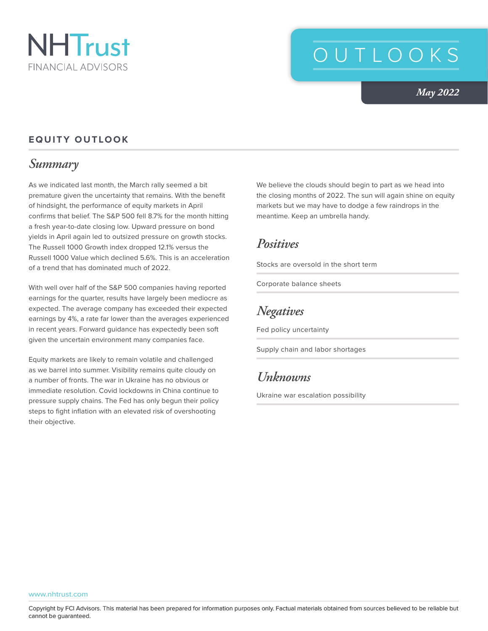

# OUTLOOKS

*May 2022*

#### **EQUITY OUTLOOK**

#### *Summary*

As we indicated last month, the March rally seemed a bit premature given the uncertainty that remains. With the benefit of hindsight, the performance of equity markets in April confirms that belief. The S&P 500 fell 8.7% for the month hitting a fresh year-to-date closing low. Upward pressure on bond yields in April again led to outsized pressure on growth stocks. The Russell 1000 Growth index dropped 12.1% versus the Russell 1000 Value which declined 5.6%. This is an acceleration of a trend that has dominated much of 2022.

With well over half of the S&P 500 companies having reported earnings for the quarter, results have largely been mediocre as expected. The average company has exceeded their expected earnings by 4%, a rate far lower than the averages experienced in recent years. Forward guidance has expectedly been soft given the uncertain environment many companies face.

Equity markets are likely to remain volatile and challenged as we barrel into summer. Visibility remains quite cloudy on a number of fronts. The war in Ukraine has no obvious or immediate resolution. Covid lockdowns in China continue to pressure supply chains. The Fed has only begun their policy steps to fight inflation with an elevated risk of overshooting their objective.

We believe the clouds should begin to part as we head into the closing months of 2022. The sun will again shine on equity markets but we may have to dodge a few raindrops in the meantime. Keep an umbrella handy.

#### *Positives*

Stocks are oversold in the short term

Corporate balance sheets

## *Negatives*

Fed policy uncertainty

Supply chain and labor shortages

#### *Unknowns*

Ukraine war escalation possibility

Copyright by FCI Advisors. This material has been prepared for information purposes only. Factual materials obtained from sources believed to be reliable but cannot be guaranteed.